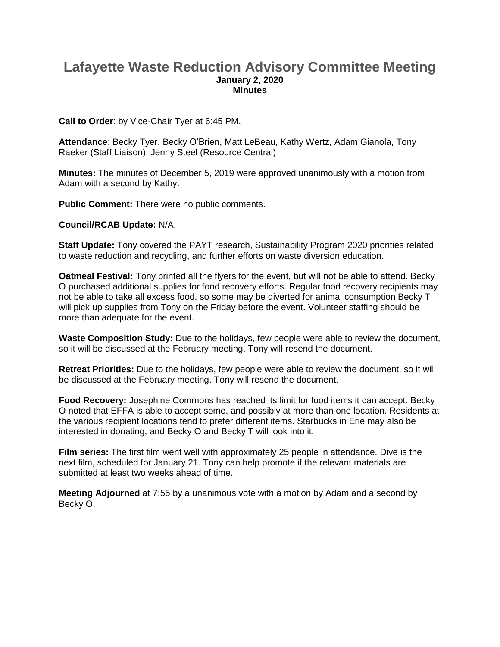## **Lafayette Waste Reduction Advisory Committee Meeting January 2, 2020 Minutes**

**Call to Order**: by Vice-Chair Tyer at 6:45 PM.

**Attendance**: Becky Tyer, Becky O'Brien, Matt LeBeau, Kathy Wertz, Adam Gianola, Tony Raeker (Staff Liaison), Jenny Steel (Resource Central)

**Minutes:** The minutes of December 5, 2019 were approved unanimously with a motion from Adam with a second by Kathy.

**Public Comment:** There were no public comments.

## **Council/RCAB Update:** N/A.

**Staff Update:** Tony covered the PAYT research, Sustainability Program 2020 priorities related to waste reduction and recycling, and further efforts on waste diversion education.

**Oatmeal Festival:** Tony printed all the flyers for the event, but will not be able to attend. Becky O purchased additional supplies for food recovery efforts. Regular food recovery recipients may not be able to take all excess food, so some may be diverted for animal consumption Becky T will pick up supplies from Tony on the Friday before the event. Volunteer staffing should be more than adequate for the event.

**Waste Composition Study:** Due to the holidays, few people were able to review the document, so it will be discussed at the February meeting. Tony will resend the document.

**Retreat Priorities:** Due to the holidays, few people were able to review the document, so it will be discussed at the February meeting. Tony will resend the document.

**Food Recovery:** Josephine Commons has reached its limit for food items it can accept. Becky O noted that EFFA is able to accept some, and possibly at more than one location. Residents at the various recipient locations tend to prefer different items. Starbucks in Erie may also be interested in donating, and Becky O and Becky T will look into it.

**Film series:** The first film went well with approximately 25 people in attendance. Dive is the next film, scheduled for January 21. Tony can help promote if the relevant materials are submitted at least two weeks ahead of time.

**Meeting Adjourned** at 7:55 by a unanimous vote with a motion by Adam and a second by Becky O.